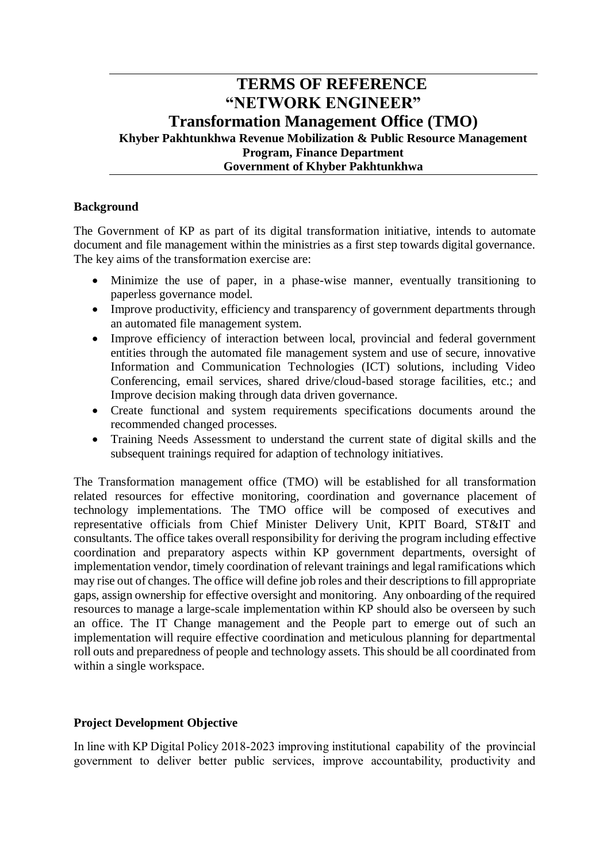# **TERMS OF REFERENCE "NETWORK ENGINEER" Transformation Management Office (TMO) Khyber Pakhtunkhwa Revenue Mobilization & Public Resource Management Program, Finance Department Government of Khyber Pakhtunkhwa**

#### **Background**

The Government of KP as part of its digital transformation initiative, intends to automate document and file management within the ministries as a first step towards digital governance. The key aims of the transformation exercise are:

- Minimize the use of paper, in a phase-wise manner, eventually transitioning to paperless governance model.
- Improve productivity, efficiency and transparency of government departments through an automated file management system.
- Improve efficiency of interaction between local, provincial and federal government entities through the automated file management system and use of secure, innovative Information and Communication Technologies (ICT) solutions, including Video Conferencing, email services, shared drive/cloud-based storage facilities, etc.; and Improve decision making through data driven governance.
- Create functional and system requirements specifications documents around the recommended changed processes.
- Training Needs Assessment to understand the current state of digital skills and the subsequent trainings required for adaption of technology initiatives.

The Transformation management office (TMO) will be established for all transformation related resources for effective monitoring, coordination and governance placement of technology implementations. The TMO office will be composed of executives and representative officials from Chief Minister Delivery Unit, KPIT Board, ST&IT and consultants. The office takes overall responsibility for deriving the program including effective coordination and preparatory aspects within KP government departments, oversight of implementation vendor, timely coordination of relevant trainings and legal ramifications which may rise out of changes. The office will define job roles and their descriptions to fill appropriate gaps, assign ownership for effective oversight and monitoring. Any onboarding of the required resources to manage a large-scale implementation within KP should also be overseen by such an office. The IT Change management and the People part to emerge out of such an implementation will require effective coordination and meticulous planning for departmental roll outs and preparedness of people and technology assets. This should be all coordinated from within a single workspace.

#### **Project Development Objective**

In line with KP Digital Policy 2018-2023 improving institutional capability of the provincial government to deliver better public services, improve accountability, productivity and